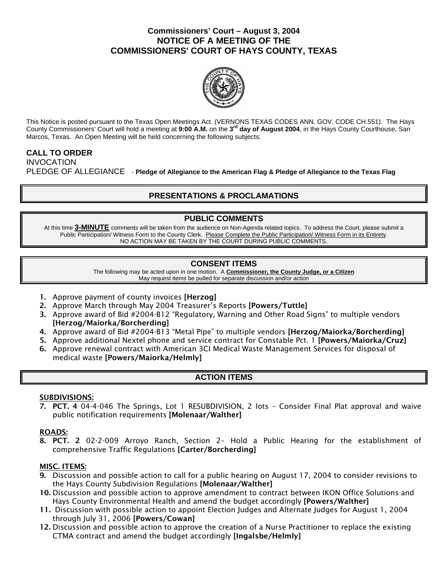### **Commissioners' Court – August 3, 2004 NOTICE OF A MEETING OF THE COMMISSIONERS' COURT OF HAYS COUNTY, TEXAS**



This Notice is posted pursuant to the Texas Open Meetings Act. (VERNONS TEXAS CODES ANN. GOV. CODE CH.551). The Hays County Commissioners' Court will hold a meeting at **9:00 A.M.** on the **3rd day of August 2004**, in the Hays County Courthouse, San Marcos, Texas. An Open Meeting will be held concerning the following subjects:

# **CALL TO ORDER**

INVOCATION PLEDGE OF ALLEGIANCE - **Pledge of Allegiance to the American Flag & Pledge of Allegiance to the Texas Flag** 

# **PRESENTATIONS & PROCLAMATIONS**

## **PUBLIC COMMENTS**

At this time **3-MINUTE** comments will be taken from the audience on Non-Agenda related topics. To address the Court, please submit a Public Participation/ Witness Form to the County Clerk. Please Complete the Public Participation/ Witness Form in its Entirety. NO ACTION MAY BE TAKEN BY THE COURT DURING PUBLIC COMMENTS.

## **CONSENT ITEMS**

The following may be acted upon in one motion. A **Commissioner, the County Judge, or a Citizen** May request items be pulled for separate discussion and/or action

- 1. Approve payment of county invoices [Herzog]
- 2. Approve March through May 2004 Treasurer's Reports [Powers/Tuttle]
- 3. Approve award of Bid #2004-B12 "Regulatory, Warning and Other Road Signs" to multiple vendors [Herzog/Maiorka/Borcherding]
- 4. Approve award of Bid #2004-B13 "Metal Pipe" to multiple vendors [Herzog/Maiorka/Borcherding]
- 5. Approve additional Nextel phone and service contract for Constable Pct. 1 [Powers/Maiorka/Cruz]
- 6. Approve renewal contract with American 3CI Medical Waste Management Services for disposal of medical waste [Powers/Maiorka/Helmly]

## **ACTION ITEMS**

### SUBDIVISIONS:

7. PCT. 4 04-4-046 The Springs, Lot 1 RESUBDIVISION, 2 lots – Consider Final Plat approval and waive public notification requirements [Molenaar/Walther]

### ROADS:

8. PCT. 2 02-2-009 Arroyo Ranch, Section 2– Hold a Public Hearing for the establishment of comprehensive Traffic Regulations [Carter/Borcherding]

### MISC. ITEMS:

- 9. Discussion and possible action to call for a public hearing on August 17, 2004 to consider revisions to the Hays County Subdivision Regulations [Molenaar/Walther]
- 10. Discussion and possible action to approve amendment to contract between IKON Office Solutions and Hays County Environmental Health and amend the budget accordingly [Powers/Walther]
- 11. Discussion with possible action to appoint Election Judges and Alternate Judges for August 1, 2004 through July 31, 2006 [Powers/Cowan]
- 12. Discussion and possible action to approve the creation of a Nurse Practitioner to replace the existing CTMA contract and amend the budget accordingly [Ingalsbe/Helmly]